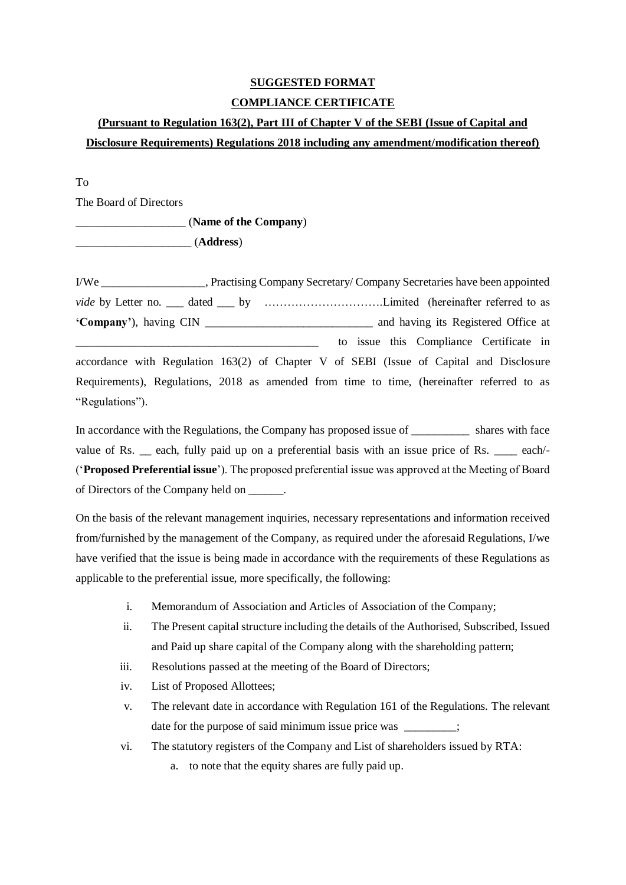# **SUGGESTED FORMAT COMPLIANCE CERTIFICATE**

# **(Pursuant to Regulation 163(2), Part III of Chapter V of the SEBI (Issue of Capital and Disclosure Requirements) Regulations 2018 including any amendment/modification thereof)**

## To

The Board of Directors

\_\_\_\_\_\_\_\_\_\_\_\_\_\_\_\_\_\_\_ (**Name of the Company**)

\_\_\_\_\_\_\_\_\_\_\_\_\_\_\_\_\_\_\_\_ (**Address**)

I/We \_\_\_\_\_\_\_\_\_\_\_\_\_\_\_\_\_\_, Practising Company Secretary/ Company Secretaries have been appointed *vide* by Letter no. \_\_\_ dated \_\_\_ by …………………………………Limited (hereinafter referred to as **'Company'**), having CIN \_\_\_\_\_\_\_\_\_\_\_\_\_\_\_\_\_\_\_\_\_\_\_\_\_\_\_\_\_ and having its Registered Office at \_\_\_\_\_\_\_\_\_\_\_\_\_\_\_\_\_\_\_\_\_\_\_\_\_\_\_\_\_\_\_\_\_\_\_\_\_\_\_\_\_\_ to issue this Compliance Certificate in accordance with Regulation 163(2) of Chapter V of SEBI (Issue of Capital and Disclosure Requirements), Regulations, 2018 as amended from time to time, (hereinafter referred to as "Regulations").

In accordance with the Regulations, the Company has proposed issue of shares with face value of Rs. \_\_ each, fully paid up on a preferential basis with an issue price of Rs. \_\_\_\_ each/-('**Proposed Preferential issue**'). The proposed preferential issue was approved at the Meeting of Board of Directors of the Company held on \_\_\_\_\_\_.

On the basis of the relevant management inquiries, necessary representations and information received from/furnished by the management of the Company, as required under the aforesaid Regulations, I/we have verified that the issue is being made in accordance with the requirements of these Regulations as applicable to the preferential issue, more specifically, the following:

- i. Memorandum of Association and Articles of Association of the Company;
- ii. The Present capital structure including the details of the Authorised, Subscribed, Issued and Paid up share capital of the Company along with the shareholding pattern;
- iii. Resolutions passed at the meeting of the Board of Directors;
- iv. List of Proposed Allottees;
- v. The relevant date in accordance with Regulation 161 of the Regulations. The relevant date for the purpose of said minimum issue price was  $\cdot$ ;
- vi. The statutory registers of the Company and List of shareholders issued by RTA:
	- a. to note that the equity shares are fully paid up.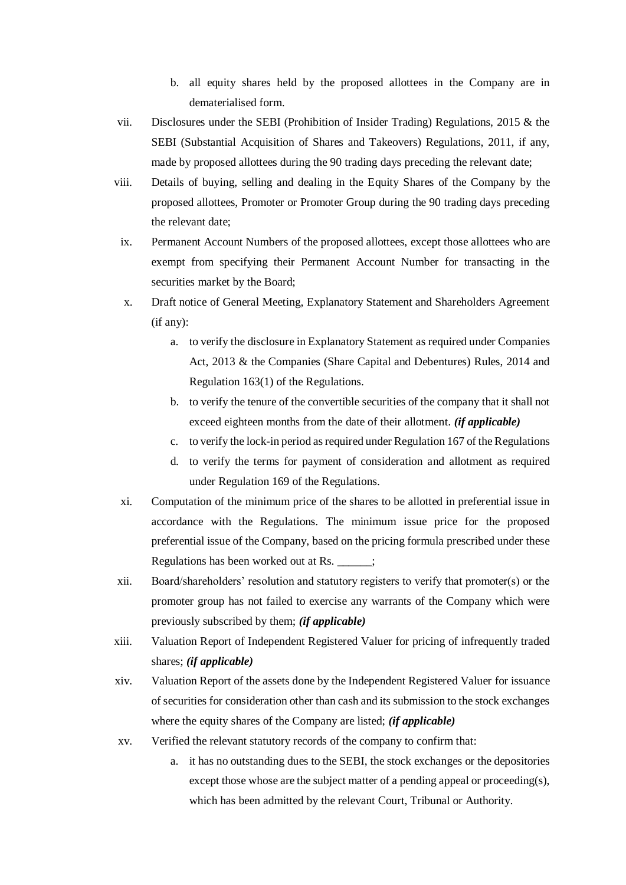- b. all equity shares held by the proposed allottees in the Company are in dematerialised form.
- vii. Disclosures under the SEBI (Prohibition of Insider Trading) Regulations, 2015 & the SEBI (Substantial Acquisition of Shares and Takeovers) Regulations, 2011, if any, made by proposed allottees during the 90 trading days preceding the relevant date;
- viii. Details of buying, selling and dealing in the Equity Shares of the Company by the proposed allottees, Promoter or Promoter Group during the 90 trading days preceding the relevant date;
- ix. Permanent Account Numbers of the proposed allottees, except those allottees who are exempt from specifying their Permanent Account Number for transacting in the securities market by the Board;
- x. Draft notice of General Meeting, Explanatory Statement and Shareholders Agreement (if any):
	- a. to verify the disclosure in Explanatory Statement as required under Companies Act, 2013 & the Companies (Share Capital and Debentures) Rules, 2014 and Regulation 163(1) of the Regulations.
	- b. to verify the tenure of the convertible securities of the company that it shall not exceed eighteen months from the date of their allotment. *(if applicable)*
	- c. to verify the lock-in period as required under Regulation 167 of the Regulations
	- d. to verify the terms for payment of consideration and allotment as required under Regulation 169 of the Regulations.
- xi. Computation of the minimum price of the shares to be allotted in preferential issue in accordance with the Regulations. The minimum issue price for the proposed preferential issue of the Company, based on the pricing formula prescribed under these Regulations has been worked out at Rs. \_\_\_\_\_\_;
- xii. Board/shareholders' resolution and statutory registers to verify that promoter(s) or the promoter group has not failed to exercise any warrants of the Company which were previously subscribed by them; *(if applicable)*
- xiii. Valuation Report of Independent Registered Valuer for pricing of infrequently traded shares; *(if applicable)*
- xiv. Valuation Report of the assets done by the Independent Registered Valuer for issuance of securities for consideration other than cash and its submission to the stock exchanges where the equity shares of the Company are listed; *(if applicable)*
- xv. Verified the relevant statutory records of the company to confirm that:
	- a. it has no outstanding dues to the SEBI, the stock exchanges or the depositories except those whose are the subject matter of a pending appeal or proceeding(s), which has been admitted by the relevant Court, Tribunal or Authority.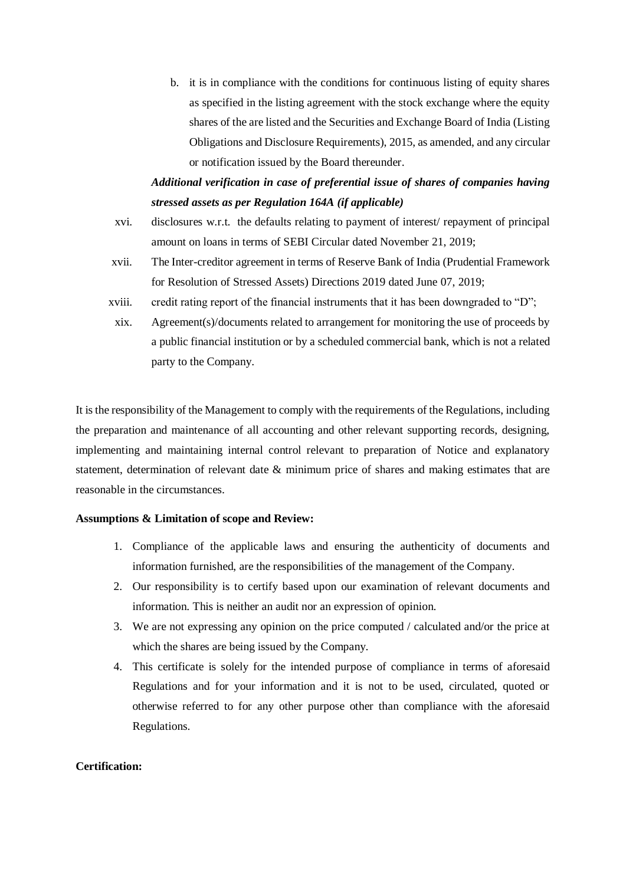b. it is in compliance with the conditions for continuous listing of equity shares as specified in the listing agreement with the stock exchange where the equity shares of the are listed and the Securities and Exchange Board of India (Listing Obligations and Disclosure Requirements), 2015, as amended, and any circular or notification issued by the Board thereunder.

## *Additional verification in case of preferential issue of shares of companies having stressed assets as per Regulation 164A (if applicable)*

- xvi. disclosures w.r.t. the defaults relating to payment of interest/ repayment of principal amount on loans in terms of SEBI Circular dated November 21, 2019;
- xvii. The Inter-creditor agreement in terms of Reserve Bank of India (Prudential Framework for Resolution of Stressed Assets) Directions 2019 dated June 07, 2019;
- xviii. credit rating report of the financial instruments that it has been downgraded to "D";
	- xix. Agreement(s)/documents related to arrangement for monitoring the use of proceeds by a public financial institution or by a scheduled commercial bank, which is not a related party to the Company.

It is the responsibility of the Management to comply with the requirements of the Regulations, including the preparation and maintenance of all accounting and other relevant supporting records, designing, implementing and maintaining internal control relevant to preparation of Notice and explanatory statement, determination of relevant date & minimum price of shares and making estimates that are reasonable in the circumstances.

#### **Assumptions & Limitation of scope and Review:**

- 1. Compliance of the applicable laws and ensuring the authenticity of documents and information furnished, are the responsibilities of the management of the Company.
- 2. Our responsibility is to certify based upon our examination of relevant documents and information. This is neither an audit nor an expression of opinion.
- 3. We are not expressing any opinion on the price computed / calculated and/or the price at which the shares are being issued by the Company.
- 4. This certificate is solely for the intended purpose of compliance in terms of aforesaid Regulations and for your information and it is not to be used, circulated, quoted or otherwise referred to for any other purpose other than compliance with the aforesaid Regulations.

## **Certification:**